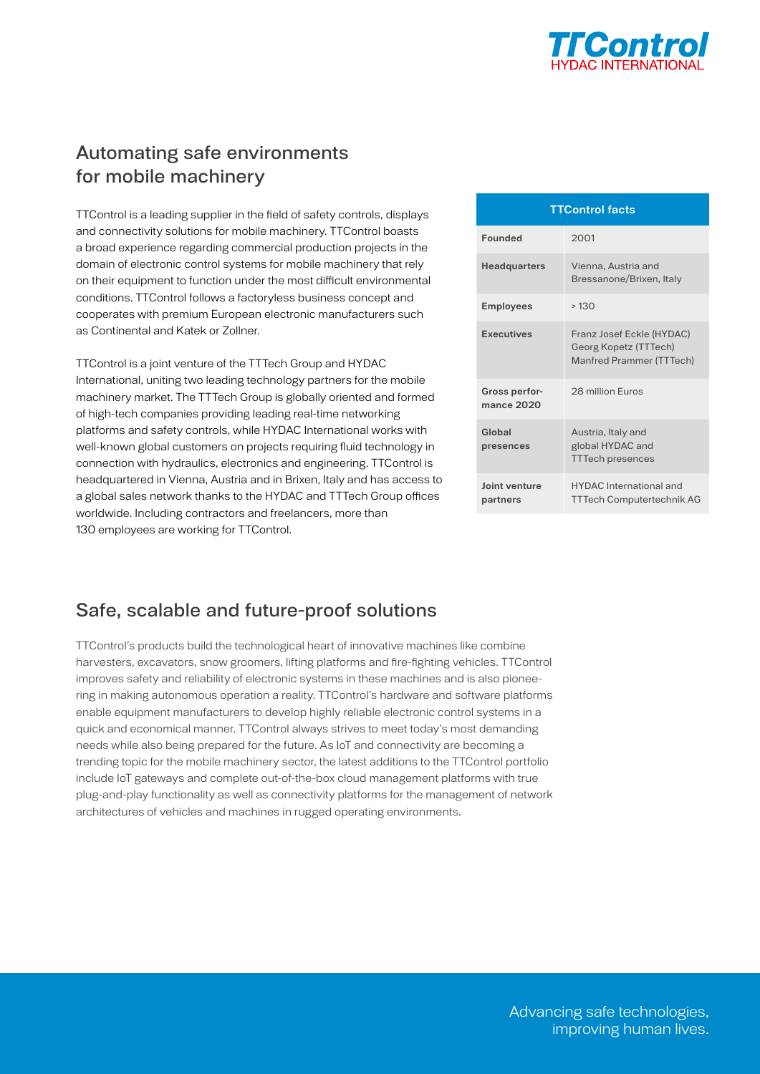

## Automating safe environments for mobile machinery

TTControl is a leading supplier in the field of safety controls, displays and connectivity solutions for mobile machinery. TTControl boasts a broad experience regarding commercial production projects in the domain of electronic control systems for mobile machinery that rely on their equipment to function under the most difficult environmental conditions. TTControl follows a factoryless business concept and cooperates with premium European electronic manufacturers such as Continental and Katek or Zollner.

TTControl is a joint venture of the TTTech Group and HYDAC International, uniting two leading technology partners for the mobile machinery market. The TTTech Group is globally oriented and formed of high-tech companies providing leading real-time networking platforms and safety controls, while HYDAC International works with well-known global customers on projects requiring fluid technology in connection with hydraulics, electronics and engineering. TTControl is headquartered in Vienna, Austria and in Brixen, Italy and has access to a global sales network thanks to the HYDAC and TTTech Group offices worldwide. Including contractors and freelancers, more than 130 employees are working for TTControl.

| <b>TTControl facts</b>      |                                                                                |  |  |  |
|-----------------------------|--------------------------------------------------------------------------------|--|--|--|
| Founded                     | 2001                                                                           |  |  |  |
| <b>Headquarters</b>         | Vienna, Austria and<br>Bressanone/Brixen, Italy                                |  |  |  |
| <b>Employees</b>            | >130                                                                           |  |  |  |
| Executives                  | Franz Josef Eckle (HYDAC)<br>Georg Kopetz (TTTech)<br>Manfred Prammer (TTTech) |  |  |  |
| Gross perfor-<br>mance 2020 | 28 million Furos                                                               |  |  |  |
| Global<br>presences         | Austria, Italy and<br>global HYDAC and<br><b>TTTech presences</b>              |  |  |  |
| Joint venture<br>partners   | <b>HYDAC</b> International and<br><b>TTTech Computertechnik AG</b>             |  |  |  |

## Safe, scalable and future-proof solutions

TTControl's products build the technological heart of innovative machines like combine harvesters, excavators, snow groomers, lifting platforms and fire-fighting vehicles. TTControl improves safety and reliability of electronic systems in these machines and is also pioneering in making autonomous operation a reality. TTControl's hardware and software platforms enable equipment manufacturers to develop highly reliable electronic control systems in a quick and economical manner. TTControl always strives to meet today's most demanding needs while also being prepared for the future. As IoT and connectivity are becoming a trending topic for the mobile machinery sector, the latest additions to the TTControl portfolio include IoT gateways and complete out-of-the-box cloud management platforms with true plug-and-play functionality as well as connectivity platforms for the management of network architectures of vehicles and machines in rugged operating environments.

> Advancing safe technologies, improving human lives.